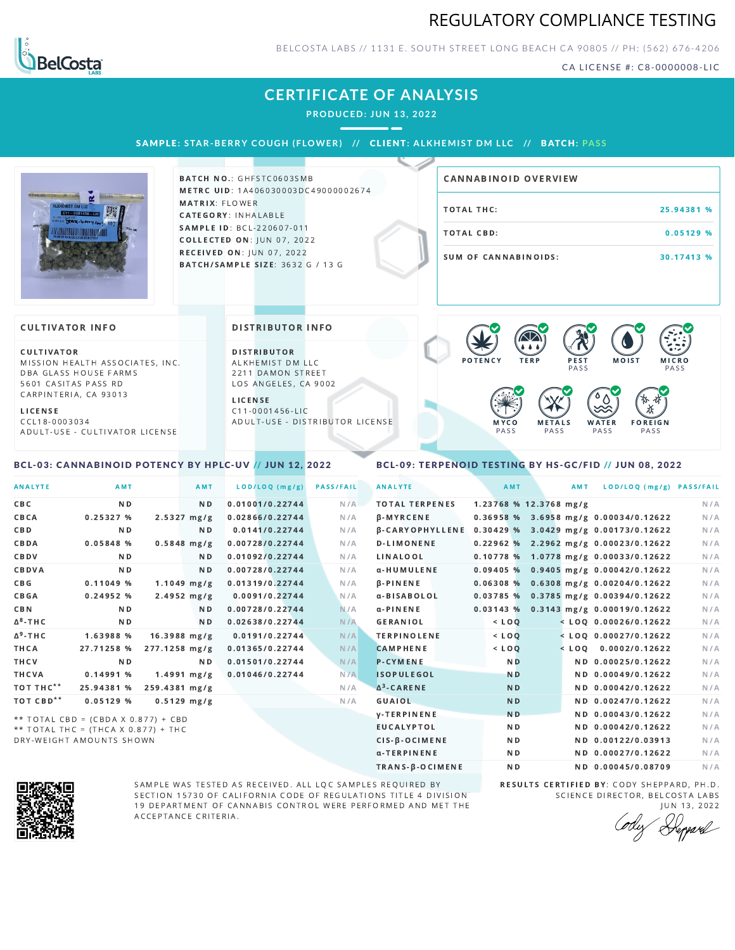## REGULATORY COMPLIANCE TESTING



BELCOSTA LABS // 1131 E. SOUTH STREET LONG BEACH C A 90805 // PH: (562) 676-4206

CA LICENSE #: C8-0000008-LIC

# **CERTIFICATE OF ANALYSIS**

**PRODUCED: JUN 13, 2022**

SAMPLE: STAR-BERRY COUGH (FLOWER) // CLIENT: ALKHEMIST DM LLC // BATCH: PASS BATCH NO.: GHFSTC0603SMB METRC UID: 1A406030003DC49000002674 MATRIX: FLOWER CATEGORY: INHALABLE SAMPLE ID: BCL-220607-011 **COLLECTED ON: JUN 07, 2022** RECEIVED ON: JUN 07, 2022 BATCH/SAMPLE SIZE: 3632 G / 13 G TOTAL THC: 25.94381 % TOTAL CBD: 0.05129 % SUM OF CANNABINOIDS: 30.17413 % CANNABINOID OVERVIEW CULTIVATOR MISSION HEALTH ASSOCIATES, INC. DBA GLASS HOUSE FARMS 5601 CASITAS PASS RD CARPINTERIA, CA 93013 **CULTIVATOR INFO** D I STRIBUTOR ALKHEMIST DM LLC 2211 DAMON STREET LOS ANGELES, CA 9002 L I C E N S E DISTRIBUTOR INFO P E S T PA S S MOIST MICRO PA S S  $\bullet$  60 60 60 60  $\bullet$  6.0 6.9

L I C E N S E C C L 1 8 - 0 0 0 3 0 3 4 A D U L T - U S E - C U L T I V A T O R L I CENSE C 1 1 - 0 0 0 1 4 5 6 - L I C A D U L T - U S E - D I STRIBUTOR LICENSE



#### <span id="page-0-0"></span>BCL-03: CANNABINOID POTENCY BY HPLC-UV // JUN 12, 2022

### <span id="page-0-1"></span>BCL-09: TERPENOID TESTING BY HS-GC/FID // JUN 08, 2022

| <b>ANALYTE</b>        | AMT                                 |                 | <b>AMT</b>       | LOD/LOQ (mg/g)  | <b>PASS/FAIL</b> | <b>ANALYTE</b>         | AMT            | AMT                      | LOD/LOQ (mg/g) PASS/FAIL                    |     |
|-----------------------|-------------------------------------|-----------------|------------------|-----------------|------------------|------------------------|----------------|--------------------------|---------------------------------------------|-----|
| CBC                   | N <sub>D</sub>                      |                 | N <sub>D</sub>   | 0.01001/0.22744 | N/A              | <b>TOTAL TERPENES</b>  |                | $1.23768$ % 12.3768 mg/g |                                             | N/A |
| CBCA                  | 0.25327%                            |                 | $2.5327 \, mg/g$ | 0.02866/0.22744 | N/A              | β-MYRCENE              |                |                          | 0.36958 % 3.6958 mg/g 0.00034/0.12622       | N/A |
| <b>CBD</b>            | N <sub>D</sub>                      |                 | N <sub>D</sub>   | 0.0141/0.22744  | N/A              | <b>B-CARYOPHYLLENE</b> |                |                          | $0.30429$ % 3.0429 mg/g 0.00173/0.12622     | N/A |
| CBDA                  | 0.05848 %                           |                 | $0.5848$ mg/g    | 0.00728/0.22744 | N/A              | <b>D-LIMONENE</b>      |                |                          | $0.22962$ % 2.2962 mg/g 0.00023/0.12622     | N/A |
| CBDV                  | N <sub>D</sub>                      |                 | ND.              | 0.01092/0.22744 | N/A              | LINALOOL               |                |                          | 0.10778 % 1.0778 mg/g 0.00033/0.12622       | N/A |
| CBDVA                 | N <sub>D</sub>                      |                 | N <sub>D</sub>   | 0.00728/0.22744 | N/A              | α-HUMULENE             |                |                          | $0.09405$ % 0.9405 mg/g 0.00042/0.12622     | N/A |
| C B G                 | 0.11049%                            |                 | $1.1049$ mg/g    | 0.01319/0.22744 | N/A              | $\beta$ -PINENE        | 0.06308%       |                          | 0.6308 mg/g 0.00204/0.12622                 | N/A |
| <b>CBGA</b>           | 0.24952%                            |                 | $2.4952 \, mg/g$ | 0.0091/0.22744  | N/A              | α-BISABOLOL            |                |                          | 0.03785 % 0.3785 mg/g 0.00394/0.12622       | N/A |
| <b>CBN</b>            | N <sub>D</sub>                      |                 | N <sub>D</sub>   | 0.00728/0.22744 | N/A              | $\alpha$ -PINENE       |                |                          | $0.03143$ % $0.3143$ mg/g $0.00019/0.12622$ | N/A |
| $\Delta^8$ -THC       | ND.                                 |                 | N <sub>D</sub>   | 0.02638/0.22744 | N/A              | GERANIOL               | $<$ LOQ        |                          | $<$ LOQ 0.00026/0.12622                     | N/A |
| $\Delta^9$ -THC       | 1.63988 %                           | $16.3988$ mg/g  |                  | 0.0191/0.22744  | N/A              | <b>TERPINOLENE</b>     | $<$ $LOQ$      |                          | $<$ LOO 0.00027/0.12622                     | N/A |
| THCA                  | 27.71258 %                          | $277.1258$ mg/g |                  | 0.01365/0.22744 | N/A              | <b>CAMPHENE</b>        | $<$ LOQ        |                          | $<$ LOQ 0.0002/0.12622                      | N/A |
| THCV                  | ND.                                 |                 | N D              | 0.01501/0.22744 | N/A              | <b>P-CYMENE</b>        | N <sub>D</sub> |                          | ND 0.00025/0.12622                          | N/A |
| THCVA                 | 0.14991%                            |                 | $1.4991$ mg/g    | 0.01046/0.22744 | N/A              | <b>ISOPULEGOL</b>      | <b>ND</b>      |                          | ND 0.00049/0.12622                          | N/A |
| TOT THC**             | 25.94381 %                          | 259.4381 mg/g   |                  |                 | N/A              | $\Delta^3$ -CARENE     | <b>ND</b>      |                          | ND 0.00042/0.12622                          | N/A |
| TOT CBD <sup>**</sup> | 0.05129%                            |                 | $0.5129$ mg/g    |                 | N/A              | GUAIOL                 | <b>ND</b>      |                          | ND 0.00247/0.12622                          | N/A |
|                       | ** TOTAL CBD = (CBDA X 0.877) + CBD |                 |                  |                 |                  | <b>V-TERPINENE</b>     | <b>ND</b>      |                          | ND 0.00043/0.12622                          | N/A |
|                       | ** TOTAL THC = (THCA X 0.877) + THC |                 |                  |                 |                  | <b>EUCALYPTOL</b>      | N <sub>D</sub> |                          | ND 0.00042/0.12622                          | N/A |
|                       | DRY-WEIGHT AMOUNTS SHOWN            |                 |                  |                 |                  | CIS-B-OCIMENE          | N <sub>D</sub> |                          | ND 0.00122/0.03913                          | N/A |



SAMPLE WAS TESTED AS RECEIVED. ALL LQC SAMPLES REQUIRED BY SECTION 15730 OF CALIFORNIA CODE OF REGULATIONS TITLE 4 DIVISION 19 DEPARTMENT OF CANNABIS CONTROL WERE PERFORMED AND MET THE A C C E P T A N C E C R I T E R I A.

RESULTS CERTIFIED BY: CODY SHEPPARD, PH.D. SCIENCE DIRECTOR, BELCOSTA LABS JUN 13, 2022

α-TERPINENE ND ND 0.00027/0.12622 N/A TRANS-β-OCIMENE ND ND 0.00045/0.08709 N/A

Deppard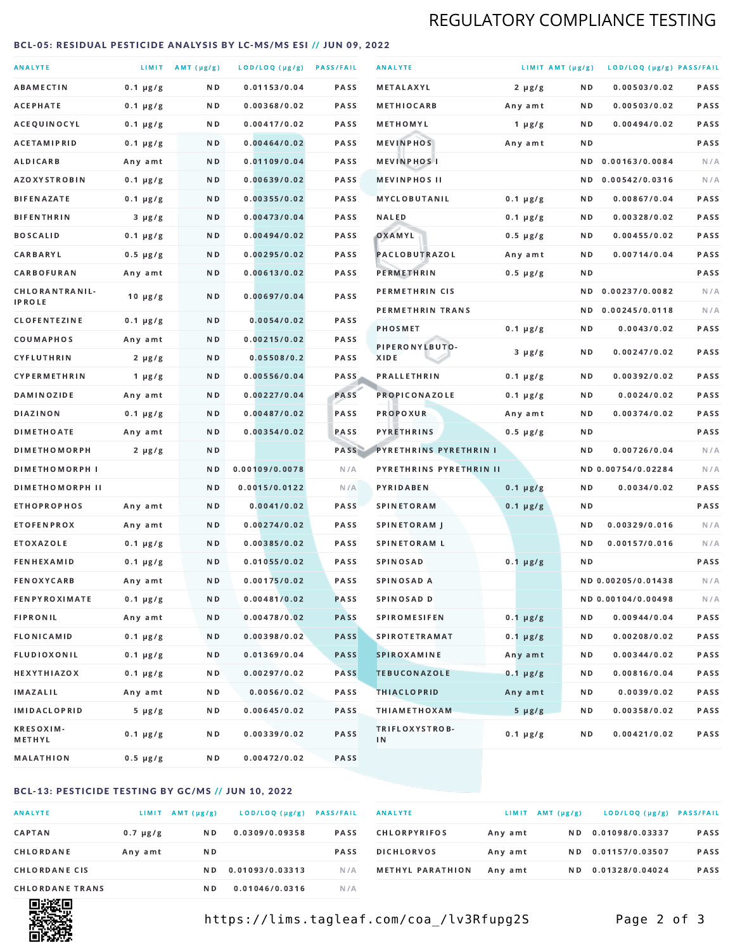# REGULATORY COMPLIANCE TESTING

#### <span id="page-1-0"></span>BCL-05: RESIDUAL PESTICIDE ANALYSIS BY LC-MS/MS ESI // JUN 09, 2022

| <b>ANALYTE</b>                  |               | LIMIT $AMT (\mu g/g)$ | LOD/LOQ (µg/g) PASS/FAIL |             | <b>ANALYTE</b>          | LIMIT AMT (µg/g) |     | LOD/LOQ (µg/g) PASS/FAIL |             |
|---------------------------------|---------------|-----------------------|--------------------------|-------------|-------------------------|------------------|-----|--------------------------|-------------|
| <b>ABAMECTIN</b>                | $0.1 \mu g/g$ | N D                   | 0.01153/0.04             | <b>PASS</b> | <b>METALAXYL</b>        | $2 \mu g/g$      | N D | 0.00503/0.02             | PASS        |
| <b>ACEPHATE</b>                 | $0.1 \mu g/g$ | ND.                   | 0.00368/0.02             | PASS        | <b>METHIOCARB</b>       | Any amt          | N D | 0.00503/0.02             | PASS        |
| ACEQUINOCYL                     | $0.1 \mu g/g$ | ND.                   | 0.00417/0.02             | PASS        | METHOMYL                | 1 $\mu$ g/g      | N D | 0.00494/0.02             | PASS        |
| <b>ACETAMIPRID</b>              | $0.1 \mu g/g$ | N D                   | 0.00464/0.02             | <b>PASS</b> | <b>MEVINPHOS</b>        | Any amt          | N D |                          | PASS        |
| <b>ALDICARB</b>                 | Any amt       | N D                   | 0.01109/0.04             | <b>PASS</b> | <b>MEVINPHOSI</b>       |                  | N D | 0.00163/0.0084           | N/A         |
| <b>AZOXYSTROBIN</b>             | $0.1 \mu g/g$ | ND.                   | 0.00639/0.02             | PASS        | <b>MEVINPHOS II</b>     |                  | N D | 0.00542/0.0316           | N/A         |
| <b>BIFENAZATE</b>               | $0.1 \mu g/g$ | N D                   | 0.00355/0.02             | PASS        | <b>MYCLOBUTANIL</b>     | $0.1 \mu g/g$    | N D | 0.00867/0.04             | PASS        |
| <b>BIFENTHRIN</b>               | $3 \mu g/g$   | N D                   | 0.00473/0.04             | <b>PASS</b> | <b>NALED</b>            | $0.1 \mu g/g$    | N D | 0.00328/0.02             | PASS        |
| <b>BOSCALID</b>                 | $0.1 \mu g/g$ | ND.                   | 0.00494/0.02             | PASS        | OXAMYL                  | $0.5 \mu g/g$    | N D | 0.00455/0.02             | PASS        |
| CARBARYL                        | $0.5 \mu g/g$ | N D                   | 0.00295/0.02             | PASS        | PACLOBUTRAZOL           | Any amt          | N D | 0.00714/0.04             | <b>PASS</b> |
| CARBOFURAN                      | Any amt       | N D                   | 0.00613/0.02             | <b>PASS</b> | <b>PERMETHRIN</b>       | $0.5 \mu g/g$    | N D |                          | PASS        |
| CHLORANTRANIL-<br><b>IPROLE</b> | $10 \mu g/g$  | N D                   | 0.00697/0.04             | PASS        | PERMETHRIN CIS          |                  | N D | 0.00237/0.0082           | N/A         |
| <b>CLOFENTEZINE</b>             | $0.1 \mu g/g$ | N D                   | 0.0054/0.02              | <b>PASS</b> | PERMETHRIN TRANS        |                  | N D | 0.00245/0.0118           | N/A         |
| COUMAPHOS                       | Any amt       | N D                   | 0.00215/0.02             | <b>PASS</b> | <b>PHOSMET</b>          | $0.1 \mu g/g$    | N D | 0.0043/0.02              | PASS        |
| <b>CYFLUTHRIN</b>               | $2 \mu g/g$   | ND.                   | 0.05508/0.2              | <b>PASS</b> | PIPERONYLBUTO-<br>XIDE  | $3 \mu g/g$      | N D | 0.00247/0.02             | PASS        |
| <b>CYPERMETHRIN</b>             | 1 $\mu$ g/g   | N D                   | 0.00556/0.04             | <b>PASS</b> | <b>PRALLETHRIN</b>      | $0.1 \mu g/g$    | N D | 0.00392/0.02             | PASS        |
| <b>DAMINOZIDE</b>               | Any amt       | N D                   | 0.00227/0.04             | PASS        | <b>PROPICONAZOLE</b>    | $0.1 \mu g/g$    | N D | 0.0024/0.02              | PASS        |
| <b>DIAZINON</b>                 | $0.1 \mu g/g$ | N D                   | 0.00487/0.02             | <b>PASS</b> | <b>PROPOXUR</b>         | Any amt          | N D | 0.00374/0.02             | PASS        |
| <b>DIMETHOATE</b>               | Any amt       | ND.                   | 0.00354/0.02             | PASS        | <b>PYRETHRINS</b>       | $0.5 \mu g/g$    | N D |                          | PASS        |
| <b>DIMETHOMORPH</b>             | $2 \mu g/g$   | N D                   |                          | PASS        | PYRETHRINS PYRETHRIN I  |                  | N D | 0.00726/0.04             | N/A         |
| <b>DIMETHOMORPH I</b>           |               | N D                   | 0.00109/0.0078           | N/A         | PYRETHRINS PYRETHRIN II |                  |     | ND 0.00754/0.02284       | N/A         |
| <b>DIMETHOMORPH II</b>          |               | ND                    | 0.0015/0.0122            | N/A         | PYRIDABEN               | $0.1 \mu g/g$    | N D | 0.0034/0.02              | PASS        |
| <b>ETHOPROPHOS</b>              | Any amt       | ND.                   | 0.0041/0.02              | PASS        | <b>SPINETORAM</b>       | $0.1 \mu g/g$    | N D |                          | PASS        |
| <b>ETOFENPROX</b>               | Any amt       | N D                   | 0.00274/0.02             | <b>PASS</b> | <b>SPINETORAM J</b>     |                  | N D | 0.00329/0.016            | N/A         |
| <b>ETOXAZOLE</b>                | $0.1 \mu g/g$ | N D                   | 0.00385/0.02             | PASS        | <b>SPINETORAM L</b>     |                  | N D | 0.00157/0.016            | N/A         |
| <b>FENHEXAMID</b>               | $0.1 \mu g/g$ | N D                   | 0.01055/0.02             | <b>PASS</b> | <b>SPINOSAD</b>         | $0.1 \mu g/g$    | N D |                          | <b>PASS</b> |
| <b>FENOXYCARB</b>               | Any amt       | N D                   | 0.00175/0.02             | <b>PASS</b> | SPINOSAD A              |                  |     | ND 0.00205/0.01438       | N/A         |
| <b>FENPYROXIMATE</b>            | $0.1 \mu g/g$ | N D                   | 0.00481/0.02             | <b>PASS</b> | SPINOSAD D              |                  |     | ND 0.00104/0.00498       | N/A         |
| <b>FIPRONIL</b>                 | Any amt       | N D                   | 0.00478/0.02             | <b>PASS</b> | <b>SPIROMESIFEN</b>     | $0.1 \mu g/g$    | N D | 0.00944/0.04             | PASS        |
| <b>FLONICAMID</b>               | $0.1 \mu g/g$ | N D                   | 0.00398/0.02             | <b>PASS</b> | <b>SPIROTETRAMAT</b>    | $0.1 \mu g/g$    | N D | 0.00208/0.02             | PASS        |
| FLUDIOXONIL                     | $0.1 \mu g/g$ | N D                   | 0.01369/0.04             | <b>PASS</b> | <b>SPIROXAMINE</b>      | Any amt          | N D | 0.00344/0.02             | PASS        |
| <b>HEXYTHIAZOX</b>              | 0.1 µg/g      | N D                   | 0.00297/0.02             | <b>PASS</b> | <b>TEBUCONAZOLE</b>     | $0.1 \mu g/g$    | N D | 0.00816/0.04             | PASS        |
| IMAZALIL                        | Any amt       | N D                   | 0.0056/0.02              | PASS        | <b>THIACLOPRID</b>      | Any amt          | N D | 0.0039/0.02              | PASS        |
| <b>IMIDACLOPRID</b>             | $5 \mu g/g$   | N D                   | 0.00645/0.02             | PASS        | <b>THIAMETHOXAM</b>     | $5 \mu g/g$      | N D | 0.00358/0.02             | PASS        |
| <b>KRESOXIM-</b><br>METHYL      | $0.1 \mu g/g$ | N D                   | 0.00339/0.02             | PASS        | TRIFLOXYSTROB-<br>IN    | $0.1 \mu g/g$    | N D | 0.00421/0.02             | PASS        |
| MALATHION                       | 0.5 µg/g      | N D                   | 0.00472/0.02             | PASS        |                         |                  |     |                          |             |

### BCL-13: PESTICIDE TESTING BY GC/MS // JUN 10, 2022

| <b>ANALYTE</b>         | LIMIT         | AMT (µg/g) | LOD/LOQ (µg/g)  | <b>PASS/FAIL</b> |
|------------------------|---------------|------------|-----------------|------------------|
| CAPTAN                 | $0.7 \mu g/g$ | N D        | 0.0309/0.09358  | <b>PASS</b>      |
| <b>CHLORDANE</b>       | Any amt       | N D        |                 | <b>PASS</b>      |
| <b>CHLORDANE CIS</b>   |               | N D        | 0.01093/0.03313 | N / A            |
| <b>CHLORDANE TRANS</b> |               | N D        | 0.01046/0.0316  | N / A            |

| <b>ANALYTE</b>          |         | LIMIT AMT $(\mu g/g)$ | LOD/LOQ (µg/g)  | <b>PASS/FAIL</b> |
|-------------------------|---------|-----------------------|-----------------|------------------|
| <b>CHLORPYRIFOS</b>     | Any amt | N D                   | 0.01098/0.03337 | <b>PASS</b>      |
| <b>DICHLORVOS</b>       | Any amt | N D                   | 0.01157/0.03507 | <b>PASS</b>      |
| <b>METHYL PARATHION</b> | Any amt | N D                   | 0.01328/0.04024 | <b>PASS</b>      |